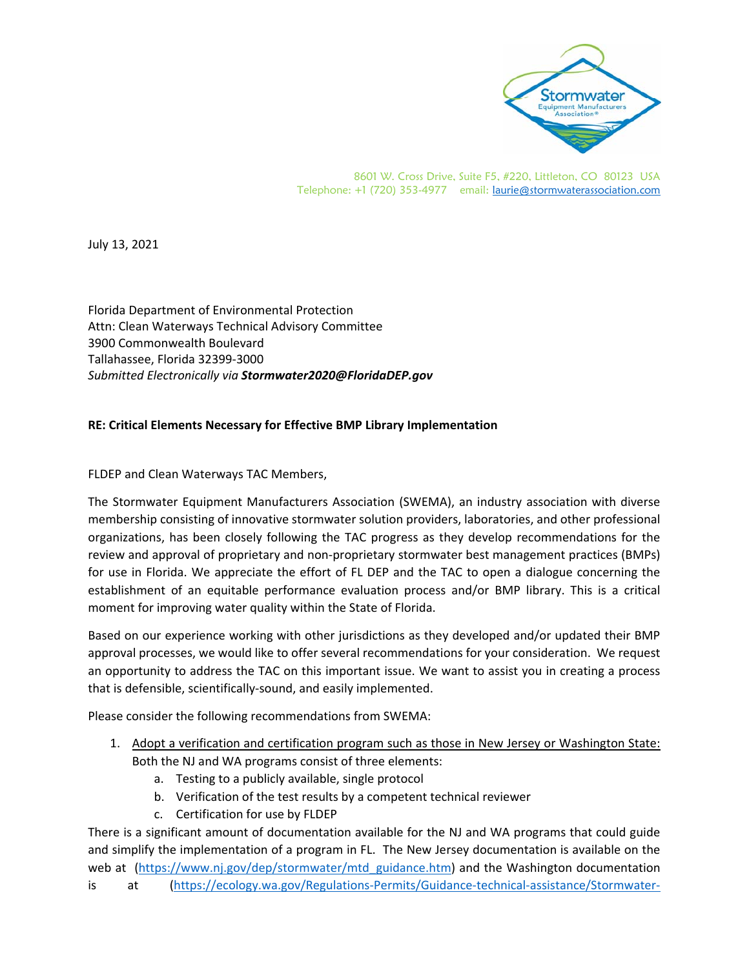

8601 W. Cross Drive, Suite F5, #220, Littleton, CO 80123 USA Telephone: +1 (720) 353-4977 email: laurie@stormwaterassociation.com

July 13, 2021

Florida Department of Environmental Protection Attn: Clean Waterways Technical Advisory Committee 3900 Commonwealth Boulevard Tallahassee, Florida 32399‐3000 *Submitted Electronically via Stormwater2020@FloridaDEP.gov*

## **RE: Critical Elements Necessary for Effective BMP Library Implementation**

## FLDEP and Clean Waterways TAC Members,

The Stormwater Equipment Manufacturers Association (SWEMA), an industry association with diverse membership consisting of innovative stormwater solution providers, laboratories, and other professional organizations, has been closely following the TAC progress as they develop recommendations for the review and approval of proprietary and non‐proprietary stormwater best management practices (BMPs) for use in Florida. We appreciate the effort of FL DEP and the TAC to open a dialogue concerning the establishment of an equitable performance evaluation process and/or BMP library. This is a critical moment for improving water quality within the State of Florida.

Based on our experience working with other jurisdictions as they developed and/or updated their BMP approval processes, we would like to offer several recommendations for your consideration. We request an opportunity to address the TAC on this important issue. We want to assist you in creating a process that is defensible, scientifically‐sound, and easily implemented.

Please consider the following recommendations from SWEMA:

- 1. Adopt a verification and certification program such as those in New Jersey or Washington State: Both the NJ and WA programs consist of three elements:
	- a. Testing to a publicly available, single protocol
	- b. Verification of the test results by a competent technical reviewer
	- c. Certification for use by FLDEP

There is a significant amount of documentation available for the NJ and WA programs that could guide and simplify the implementation of a program in FL. The New Jersey documentation is available on the web at (https://www.nj.gov/dep/stormwater/mtd\_guidance.htm) and the Washington documentation is at (https://ecology.wa.gov/Regulations-Permits/Guidance-technical-assistance/Stormwater-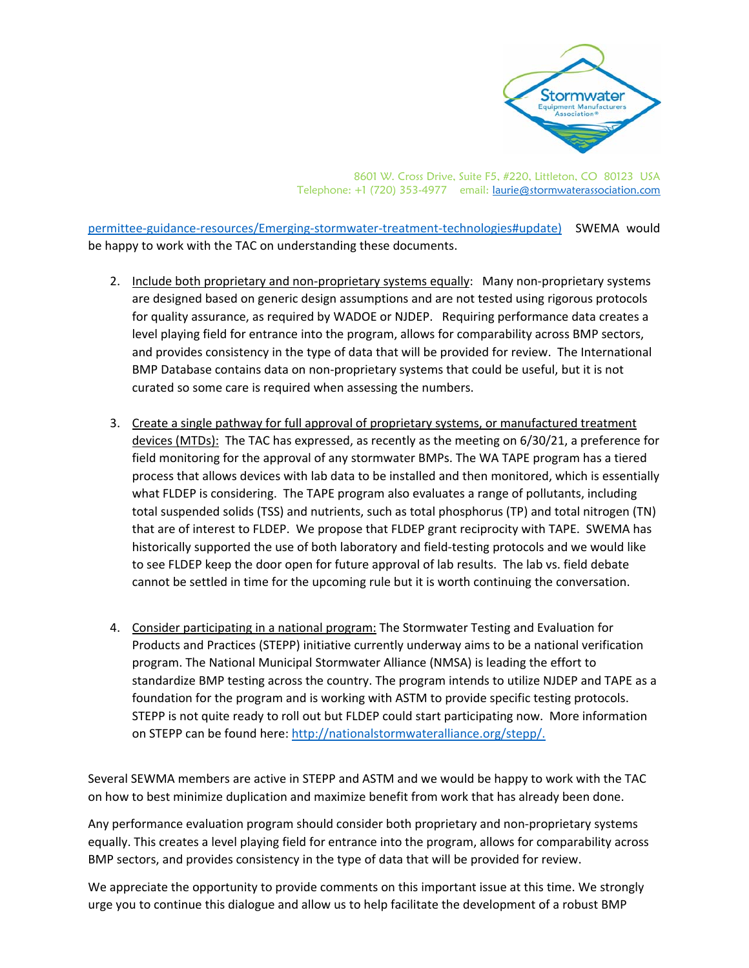

8601 W. Cross Drive, Suite F5, #220, Littleton, CO 80123 USA Telephone: +1 (720) 353-4977 email: laurie@stormwaterassociation.com

permittee‐guidance‐resources/Emerging‐stormwater‐treatment‐technologies#update) SWEMA would be happy to work with the TAC on understanding these documents.

- 2. Include both proprietary and non-proprietary systems equally: Many non-proprietary systems are designed based on generic design assumptions and are not tested using rigorous protocols for quality assurance, as required by WADOE or NJDEP. Requiring performance data creates a level playing field for entrance into the program, allows for comparability across BMP sectors, and provides consistency in the type of data that will be provided for review. The International BMP Database contains data on non‐proprietary systems that could be useful, but it is not curated so some care is required when assessing the numbers.
- 3. Create a single pathway for full approval of proprietary systems, or manufactured treatment devices (MTDs): The TAC has expressed, as recently as the meeting on 6/30/21, a preference for field monitoring for the approval of any stormwater BMPs. The WA TAPE program has a tiered process that allows devices with lab data to be installed and then monitored, which is essentially what FLDEP is considering. The TAPE program also evaluates a range of pollutants, including total suspended solids (TSS) and nutrients, such as total phosphorus (TP) and total nitrogen (TN) that are of interest to FLDEP. We propose that FLDEP grant reciprocity with TAPE. SWEMA has historically supported the use of both laboratory and field-testing protocols and we would like to see FLDEP keep the door open for future approval of lab results. The lab vs. field debate cannot be settled in time for the upcoming rule but it is worth continuing the conversation.
- 4. Consider participating in a national program: The Stormwater Testing and Evaluation for Products and Practices (STEPP) initiative currently underway aims to be a national verification program. The National Municipal Stormwater Alliance (NMSA) is leading the effort to standardize BMP testing across the country. The program intends to utilize NJDEP and TAPE as a foundation for the program and is working with ASTM to provide specific testing protocols. STEPP is not quite ready to roll out but FLDEP could start participating now. More information on STEPP can be found here: http://nationalstormwateralliance.org/stepp/.

Several SEWMA members are active in STEPP and ASTM and we would be happy to work with the TAC on how to best minimize duplication and maximize benefit from work that has already been done.

Any performance evaluation program should consider both proprietary and non‐proprietary systems equally. This creates a level playing field for entrance into the program, allows for comparability across BMP sectors, and provides consistency in the type of data that will be provided for review.

We appreciate the opportunity to provide comments on this important issue at this time. We strongly urge you to continue this dialogue and allow us to help facilitate the development of a robust BMP